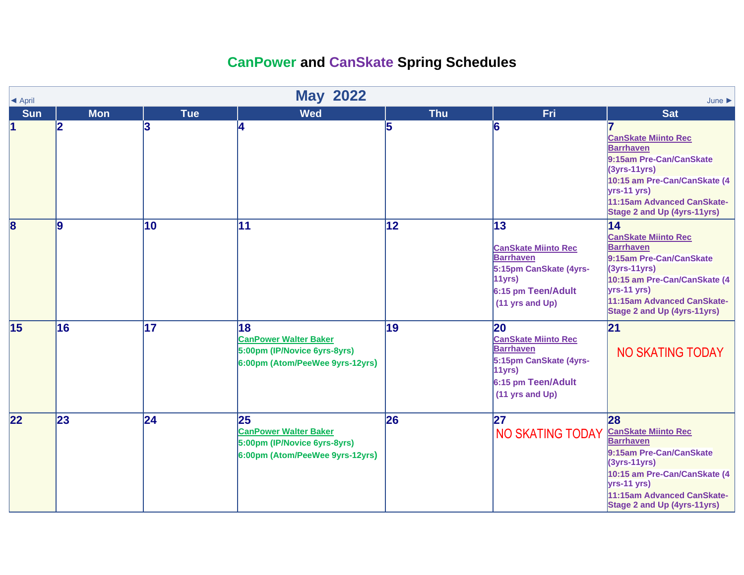## **CanPower and CanSkate Spring Schedules**